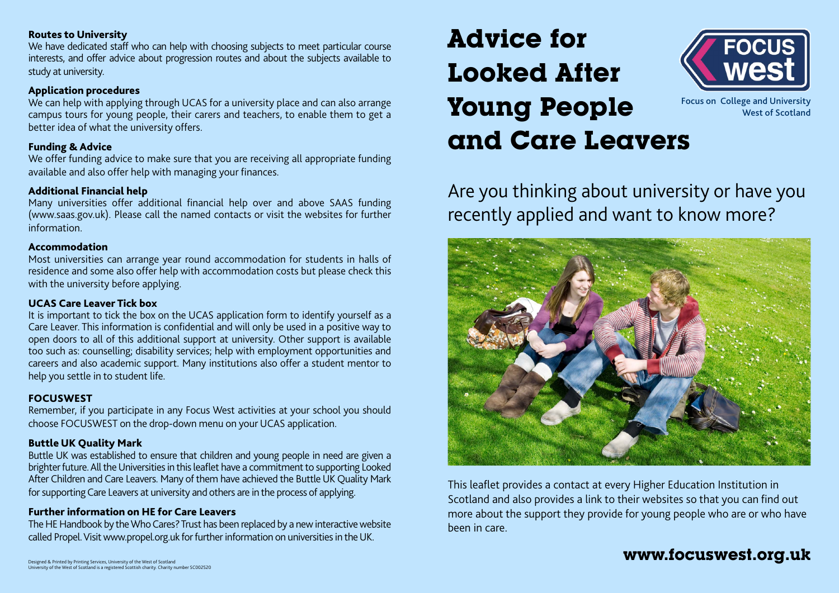# Routes to University

We have dedicated staff who can help with choosing subjects to meet particular course interests, and offer advice about progression routes and about the subjects available to study at university.

# Application procedures

We can help with applying through UCAS for a university place and can also arrange campus tours for young people, their carers and teachers, to enable them to get a better idea of what the university offers.

# Funding & Advice

We offer funding advice to make sure that you are receiving all appropriate funding available and also offer help with managing your finances.

# Additional Financial help

Many universities offer additional financial help over and above SAAS funding (www.saas.gov.uk). Please call the named contacts or visit the websites for further information.

#### Accommodation

Most universities can arrange year round accommodation for students in halls of residence and some also offer help with accommodation costs but please check this with the university before applying.

# UCAS Care Leaver Tick box

It is important to tick the box on the UCAS application form to identify yourself as a Care Leaver. This information is confidential and will only be used in a positive way to open doors to all of this additional support at university. Other support is available too such as: counselling; disability services; help with employment opportunities and careers and also academic support. Many institutions also offer a student mentor to help you settle in to student life.

# FOCUSWEST

Remember, if you participate in any Focus West activities at your school you should choose FOCUSWEST on the drop-down menu on your UCAS application.

# Buttle UK Quality Mark

Buttle UK was established to ensure that children and young people in need are given a brighter future. All the Universities in this leaflet have a commitment to supporting Looked After Children and Care Leavers. Many of them have achieved the Buttle UK Quality Mark for supporting Care Leavers at university and others are in the process of applying.

# Further information on HE for Care Leavers

The HE Handbook by the Who Cares? Trust has been replaced by a new interactive website called Propel. Visit www.propel.org.uk for further information on universities in the UK.

# **Advice for Looked After Young People and Care Leavers**



Focus on College and University West of Scotland

Are you thinking about university or have you recently applied and want to know more?



This leaflet provides a contact at every Higher Education Institution in Scotland and also provides a link to their websites so that you can find out more about the support they provide for young people who are or who have been in care.

# **www.focuswest.org.uk**